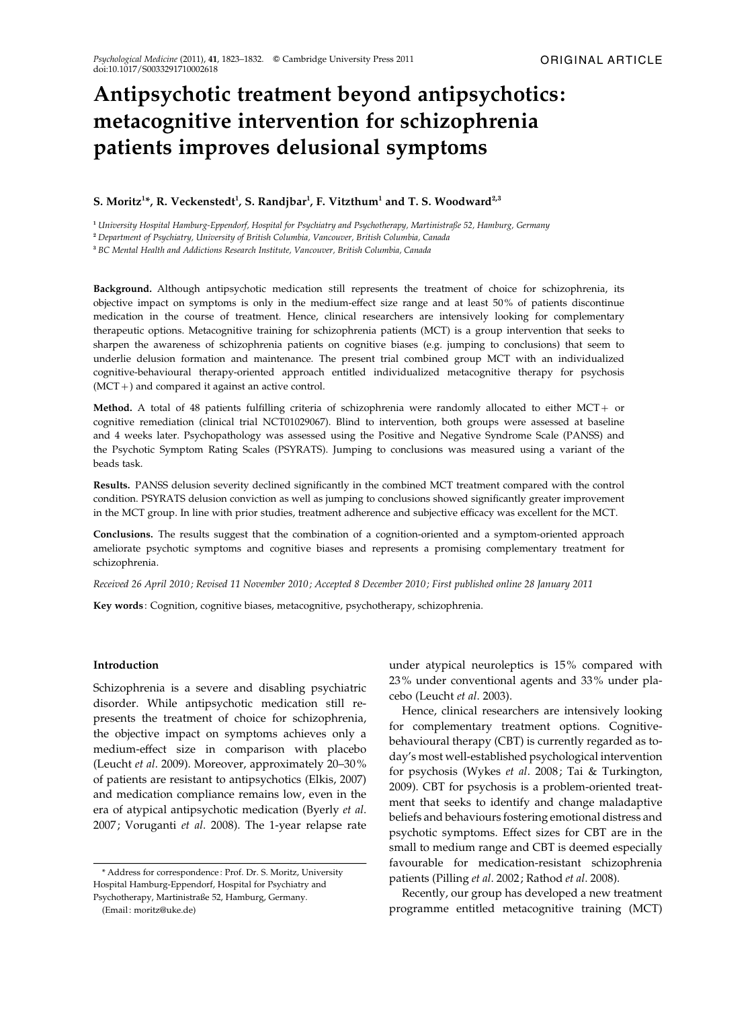# Antipsychotic treatment beyond antipsychotics: metacognitive intervention for schizophrenia patients improves delusional symptoms

# S. Moritz<sup>1\*</sup>, R. Veckenstedt<sup>1</sup>, S. Randjbar<sup>1</sup>, F. Vitzthum<sup>1</sup> and T. S. Woodward<sup>2,3</sup>

<sup>1</sup> University Hospital Hamburg-Eppendorf, Hospital for Psychiatry and Psychotherapy, Martinistraße 52, Hamburg, Germany

<sup>2</sup> Department of Psychiatry, University of British Columbia, Vancouver, British Columbia, Canada

<sup>3</sup> BC Mental Health and Addictions Research Institute, Vancouver, British Columbia, Canada

Background. Although antipsychotic medication still represents the treatment of choice for schizophrenia, its objective impact on symptoms is only in the medium-effect size range and at least 50% of patients discontinue medication in the course of treatment. Hence, clinical researchers are intensively looking for complementary therapeutic options. Metacognitive training for schizophrenia patients (MCT) is a group intervention that seeks to sharpen the awareness of schizophrenia patients on cognitive biases (e.g. jumping to conclusions) that seem to underlie delusion formation and maintenance. The present trial combined group MCT with an individualized cognitive-behavioural therapy-oriented approach entitled individualized metacognitive therapy for psychosis  $(MCT+)$  and compared it against an active control.

Method. A total of 48 patients fulfilling criteria of schizophrenia were randomly allocated to either MCT+ or cognitive remediation (clinical trial NCT01029067). Blind to intervention, both groups were assessed at baseline and 4 weeks later. Psychopathology was assessed using the Positive and Negative Syndrome Scale (PANSS) and the Psychotic Symptom Rating Scales (PSYRATS). Jumping to conclusions was measured using a variant of the beads task.

Results. PANSS delusion severity declined significantly in the combined MCT treatment compared with the control condition. PSYRATS delusion conviction as well as jumping to conclusions showed significantly greater improvement in the MCT group. In line with prior studies, treatment adherence and subjective efficacy was excellent for the MCT.

Conclusions. The results suggest that the combination of a cognition-oriented and a symptom-oriented approach ameliorate psychotic symptoms and cognitive biases and represents a promising complementary treatment for schizophrenia.

Received 26 April 2010 ; Revised 11 November 2010 ; Accepted 8 December 2010 ; First published online 28 January 2011

Key words : Cognition, cognitive biases, metacognitive, psychotherapy, schizophrenia.

#### Introduction

Schizophrenia is a severe and disabling psychiatric disorder. While antipsychotic medication still represents the treatment of choice for schizophrenia, the objective impact on symptoms achieves only a medium-effect size in comparison with placebo (Leucht et al. 2009). Moreover, approximately 20–30% of patients are resistant to antipsychotics (Elkis, 2007) and medication compliance remains low, even in the era of atypical antipsychotic medication (Byerly et al. 2007; Voruganti et al. 2008). The 1-year relapse rate

under atypical neuroleptics is 15% compared with 23% under conventional agents and 33% under placebo (Leucht et al. 2003).

Hence, clinical researchers are intensively looking for complementary treatment options. Cognitivebehavioural therapy (CBT) is currently regarded as today's most well-established psychological intervention for psychosis (Wykes et al. 2008; Tai & Turkington, 2009). CBT for psychosis is a problem-oriented treatment that seeks to identify and change maladaptive beliefs and behaviours fostering emotional distress and psychotic symptoms. Effect sizes for CBT are in the small to medium range and CBT is deemed especially favourable for medication-resistant schizophrenia patients (Pilling et al. 2002; Rathod et al. 2008).

Recently, our group has developed a new treatment programme entitled metacognitive training (MCT)

<sup>\*</sup> Address for correspondence : Prof. Dr. S. Moritz, University Hospital Hamburg-Eppendorf, Hospital for Psychiatry and Psychotherapy, Martinistraße 52, Hamburg, Germany.

<sup>(</sup>Email : moritz@uke.de)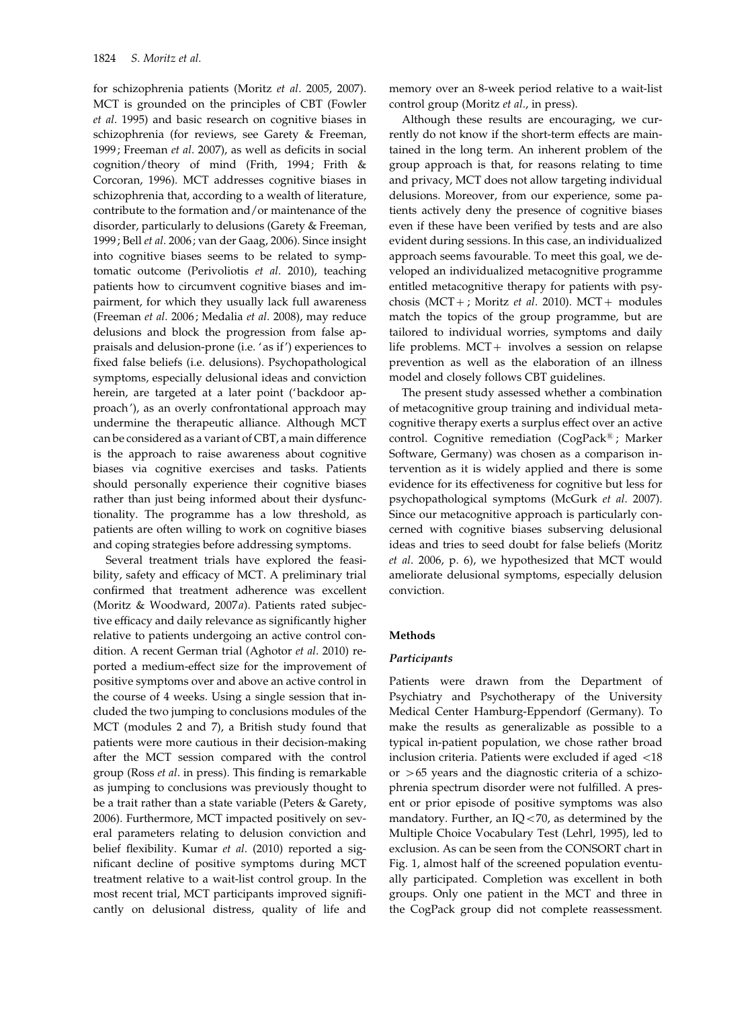for schizophrenia patients (Moritz et al. 2005, 2007). MCT is grounded on the principles of CBT (Fowler et al. 1995) and basic research on cognitive biases in schizophrenia (for reviews, see Garety & Freeman, 1999; Freeman et al. 2007), as well as deficits in social cognition/theory of mind (Frith, 1994; Frith & Corcoran, 1996). MCT addresses cognitive biases in schizophrenia that, according to a wealth of literature, contribute to the formation and/or maintenance of the disorder, particularly to delusions (Garety & Freeman, 1999; Bell et al. 2006; van der Gaag, 2006). Since insight into cognitive biases seems to be related to symptomatic outcome (Perivoliotis et al. 2010), teaching patients how to circumvent cognitive biases and impairment, for which they usually lack full awareness (Freeman et al. 2006; Medalia et al. 2008), may reduce delusions and block the progression from false appraisals and delusion-prone (i.e. ' as if') experiences to fixed false beliefs (i.e. delusions). Psychopathological symptoms, especially delusional ideas and conviction herein, are targeted at a later point ('backdoor approach'), as an overly confrontational approach may undermine the therapeutic alliance. Although MCT can be considered as a variant of CBT, a main difference is the approach to raise awareness about cognitive biases via cognitive exercises and tasks. Patients should personally experience their cognitive biases rather than just being informed about their dysfunctionality. The programme has a low threshold, as patients are often willing to work on cognitive biases and coping strategies before addressing symptoms.

Several treatment trials have explored the feasibility, safety and efficacy of MCT. A preliminary trial confirmed that treatment adherence was excellent (Moritz & Woodward, 2007a). Patients rated subjective efficacy and daily relevance as significantly higher relative to patients undergoing an active control condition. A recent German trial (Aghotor et al. 2010) reported a medium-effect size for the improvement of positive symptoms over and above an active control in the course of 4 weeks. Using a single session that included the two jumping to conclusions modules of the MCT (modules 2 and 7), a British study found that patients were more cautious in their decision-making after the MCT session compared with the control group (Ross et al. in press). This finding is remarkable as jumping to conclusions was previously thought to be a trait rather than a state variable (Peters & Garety, 2006). Furthermore, MCT impacted positively on several parameters relating to delusion conviction and belief flexibility. Kumar et al. (2010) reported a significant decline of positive symptoms during MCT treatment relative to a wait-list control group. In the most recent trial, MCT participants improved significantly on delusional distress, quality of life and

memory over an 8-week period relative to a wait-list control group (Moritz et al., in press).

Although these results are encouraging, we currently do not know if the short-term effects are maintained in the long term. An inherent problem of the group approach is that, for reasons relating to time and privacy, MCT does not allow targeting individual delusions. Moreover, from our experience, some patients actively deny the presence of cognitive biases even if these have been verified by tests and are also evident during sessions. In this case, an individualized approach seems favourable. To meet this goal, we developed an individualized metacognitive programme entitled metacognitive therapy for patients with psychosis (MCT + ; Moritz et al. 2010). MCT + modules match the topics of the group programme, but are tailored to individual worries, symptoms and daily life problems. MCT+ involves a session on relapse prevention as well as the elaboration of an illness model and closely follows CBT guidelines.

The present study assessed whether a combination of metacognitive group training and individual metacognitive therapy exerts a surplus effect over an active control. Cognitive remediation (CogPack<sup>®</sup>; Marker Software, Germany) was chosen as a comparison intervention as it is widely applied and there is some evidence for its effectiveness for cognitive but less for psychopathological symptoms (McGurk et al. 2007). Since our metacognitive approach is particularly concerned with cognitive biases subserving delusional ideas and tries to seed doubt for false beliefs (Moritz et al. 2006, p. 6), we hypothesized that MCT would ameliorate delusional symptoms, especially delusion conviction.

# Methods

## Participants

Patients were drawn from the Department of Psychiatry and Psychotherapy of the University Medical Center Hamburg-Eppendorf (Germany). To make the results as generalizable as possible to a typical in-patient population, we chose rather broad inclusion criteria. Patients were excluded if aged <18 or  $>65$  years and the diagnostic criteria of a schizophrenia spectrum disorder were not fulfilled. A present or prior episode of positive symptoms was also mandatory. Further, an  $IQ$ <70, as determined by the Multiple Choice Vocabulary Test (Lehrl, 1995), led to exclusion. As can be seen from the CONSORT chart in Fig. 1, almost half of the screened population eventually participated. Completion was excellent in both groups. Only one patient in the MCT and three in the CogPack group did not complete reassessment.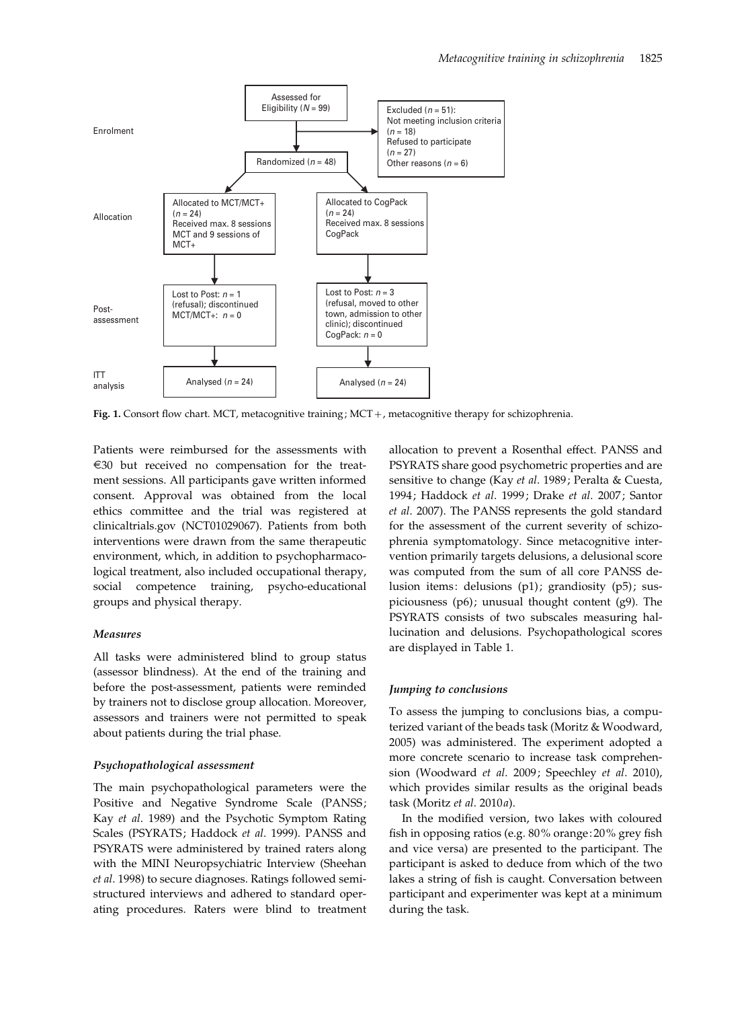

Fig. 1. Consort flow chart. MCT, metacognitive training; MCT +, metacognitive therapy for schizophrenia.

Patients were reimbursed for the assessments with *E*30 but received no compensation for the treatment sessions. All participants gave written informed consent. Approval was obtained from the local ethics committee and the trial was registered at clinicaltrials.gov (NCT01029067). Patients from both interventions were drawn from the same therapeutic environment, which, in addition to psychopharmacological treatment, also included occupational therapy, social competence training, psycho-educational groups and physical therapy.

#### Measures

All tasks were administered blind to group status (assessor blindness). At the end of the training and before the post-assessment, patients were reminded by trainers not to disclose group allocation. Moreover, assessors and trainers were not permitted to speak about patients during the trial phase.

# Psychopathological assessment

The main psychopathological parameters were the Positive and Negative Syndrome Scale (PANSS; Kay et al. 1989) and the Psychotic Symptom Rating Scales (PSYRATS; Haddock et al. 1999). PANSS and PSYRATS were administered by trained raters along with the MINI Neuropsychiatric Interview (Sheehan et al. 1998) to secure diagnoses. Ratings followed semistructured interviews and adhered to standard operating procedures. Raters were blind to treatment

allocation to prevent a Rosenthal effect. PANSS and PSYRATS share good psychometric properties and are sensitive to change (Kay et al. 1989; Peralta & Cuesta, 1994; Haddock et al. 1999; Drake et al. 2007; Santor et al. 2007). The PANSS represents the gold standard for the assessment of the current severity of schizophrenia symptomatology. Since metacognitive intervention primarily targets delusions, a delusional score was computed from the sum of all core PANSS delusion items: delusions (p1); grandiosity (p5); suspiciousness (p6); unusual thought content (g9). The PSYRATS consists of two subscales measuring hallucination and delusions. Psychopathological scores are displayed in Table 1.

#### Jumping to conclusions

To assess the jumping to conclusions bias, a computerized variant of the beads task (Moritz & Woodward, 2005) was administered. The experiment adopted a more concrete scenario to increase task comprehension (Woodward et al. 2009; Speechley et al. 2010), which provides similar results as the original beads task (Moritz et al. 2010a).

In the modified version, two lakes with coloured fish in opposing ratios (e.g. 80% orange: 20% grey fish and vice versa) are presented to the participant. The participant is asked to deduce from which of the two lakes a string of fish is caught. Conversation between participant and experimenter was kept at a minimum during the task.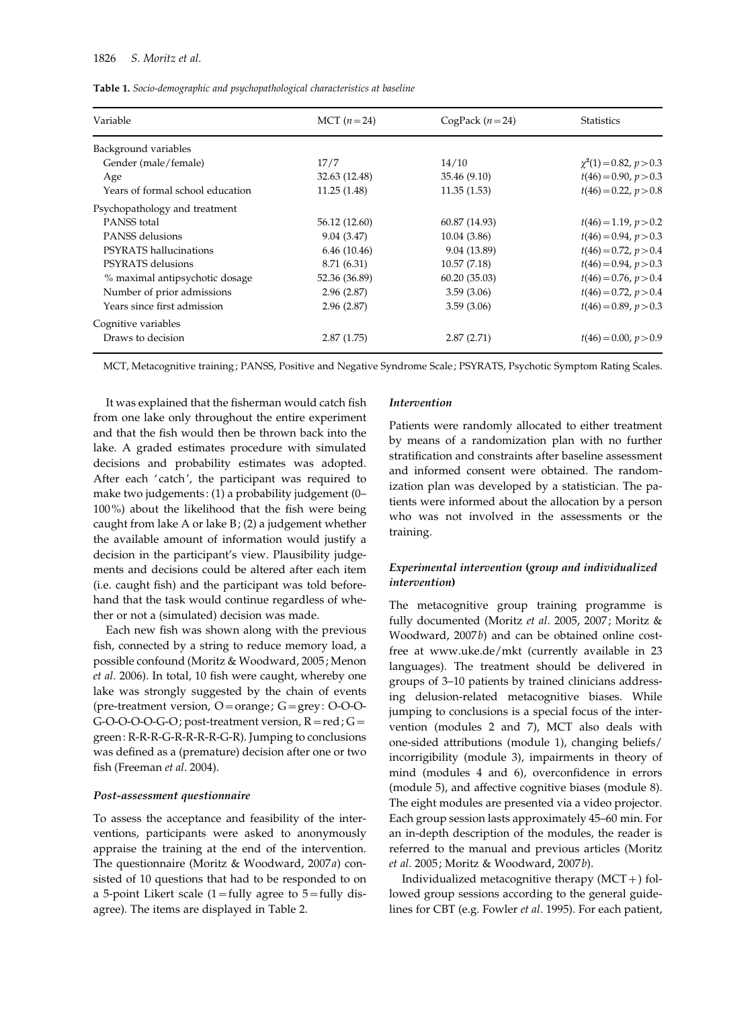## 1826 S. Moritz et al.

Table 1. Socio-demographic and psychopathological characteristics at baseline

| Variable                         | $MCT (n=24)$  | CogPack $(n=24)$ | <b>Statistics</b>           |  |
|----------------------------------|---------------|------------------|-----------------------------|--|
| Background variables             |               |                  |                             |  |
| Gender (male/female)             | 17/7          | 14/10            | $\chi^2(1) = 0.82, p > 0.3$ |  |
| Age                              | 32.63 (12.48) | 35.46 (9.10)     | $t(46) = 0.90, p > 0.3$     |  |
| Years of formal school education | 11.25(1.48)   | 11.35(1.53)      | $t(46) = 0.22, p > 0.8$     |  |
| Psychopathology and treatment    |               |                  |                             |  |
| PANSS total                      | 56.12 (12.60) | 60.87 (14.93)    | $t(46) = 1.19, p > 0.2$     |  |
| PANSS delusions                  | 9.04(3.47)    | 10.04 (3.86)     | $t(46) = 0.94, p > 0.3$     |  |
| <b>PSYRATS</b> hallucinations    | 6.46(10.46)   | 9.04 (13.89)     | $t(46) = 0.72, p > 0.4$     |  |
| <b>PSYRATS</b> delusions         | 8.71 (6.31)   | 10.57(7.18)      | $t(46) = 0.94, p > 0.3$     |  |
| % maximal antipsychotic dosage   | 52.36 (36.89) | 60.20(35.03)     | $t(46) = 0.76, p > 0.4$     |  |
| Number of prior admissions       | 2.96(2.87)    | 3.59(3.06)       | $t(46) = 0.72, p > 0.4$     |  |
| Years since first admission      | 2.96(2.87)    | 3.59(3.06)       | $t(46) = 0.89, p > 0.3$     |  |
| Cognitive variables              |               |                  |                             |  |
| Draws to decision                | 2.87(1.75)    | 2.87(2.71)       | $t(46) = 0.00, p > 0.9$     |  |

MCT, Metacognitive training ; PANSS, Positive and Negative Syndrome Scale; PSYRATS, Psychotic Symptom Rating Scales.

It was explained that the fisherman would catch fish from one lake only throughout the entire experiment and that the fish would then be thrown back into the lake. A graded estimates procedure with simulated decisions and probability estimates was adopted. After each 'catch', the participant was required to make two judgements: (1) a probability judgement (0– 100%) about the likelihood that the fish were being caught from lake A or lake B; (2) a judgement whether the available amount of information would justify a decision in the participant's view. Plausibility judgements and decisions could be altered after each item (i.e. caught fish) and the participant was told beforehand that the task would continue regardless of whether or not a (simulated) decision was made.

Each new fish was shown along with the previous fish, connected by a string to reduce memory load, a possible confound (Moritz & Woodward, 2005; Menon et al. 2006). In total, 10 fish were caught, whereby one lake was strongly suggested by the chain of events (pre-treatment version, O=orange; G=grey: O-O-O- $G-O-O-O-O-G-O$ ; post-treatment version,  $R = red$ ;  $G =$ green: R-R-R-G-R-R-R-R-G-R). Jumping to conclusions was defined as a (premature) decision after one or two fish (Freeman et al. 2004).

#### Post-assessment questionnaire

To assess the acceptance and feasibility of the interventions, participants were asked to anonymously appraise the training at the end of the intervention. The questionnaire (Moritz & Woodward, 2007a) consisted of 10 questions that had to be responded to on a 5-point Likert scale  $(1 = fully)$  agree to  $5 = fully$  disagree). The items are displayed in Table 2.

# Intervention

Patients were randomly allocated to either treatment by means of a randomization plan with no further stratification and constraints after baseline assessment and informed consent were obtained. The randomization plan was developed by a statistician. The patients were informed about the allocation by a person who was not involved in the assessments or the training.

# Experimental intervention (group and individualized intervention)

The metacognitive group training programme is fully documented (Moritz et al. 2005, 2007; Moritz & Woodward, 2007b) and can be obtained online costfree at www.uke.de/mkt (currently available in 23 languages). The treatment should be delivered in groups of 3–10 patients by trained clinicians addressing delusion-related metacognitive biases. While jumping to conclusions is a special focus of the intervention (modules 2 and 7), MCT also deals with one-sided attributions (module 1), changing beliefs/ incorrigibility (module 3), impairments in theory of mind (modules 4 and 6), overconfidence in errors (module 5), and affective cognitive biases (module 8). The eight modules are presented via a video projector. Each group session lasts approximately 45–60 min. For an in-depth description of the modules, the reader is referred to the manual and previous articles (Moritz et al. 2005; Moritz & Woodward, 2007b).

Individualized metacognitive therapy  $(MCT+)$  followed group sessions according to the general guidelines for CBT (e.g. Fowler et al. 1995). For each patient,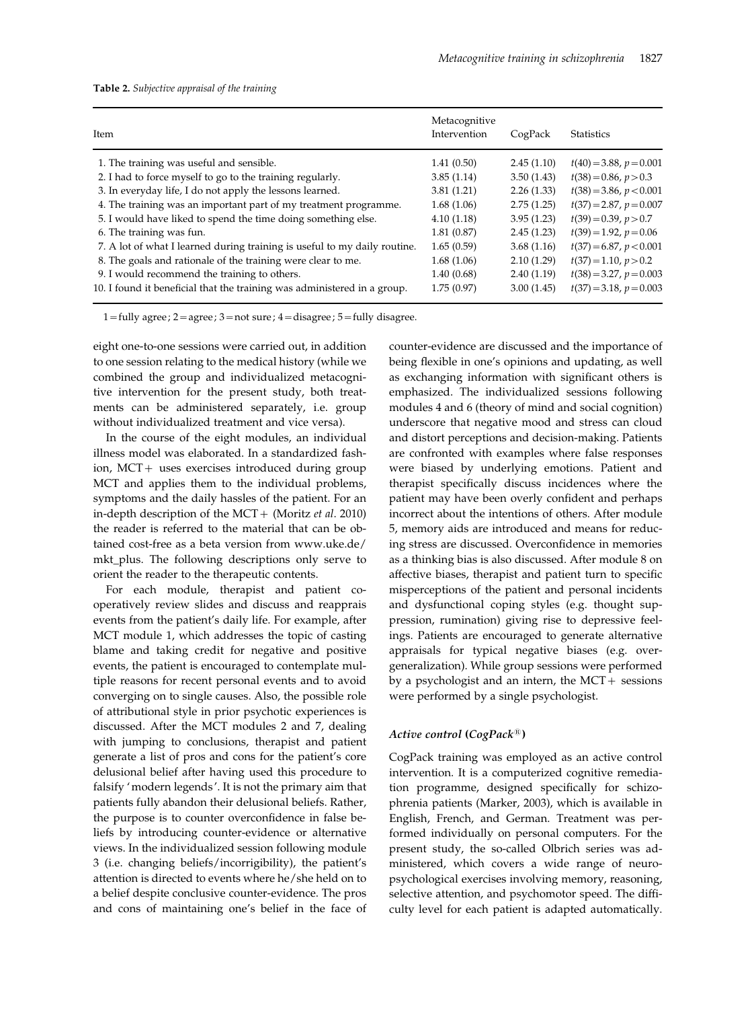| Item                                                                      | Metacognitive<br>Intervention | CogPack    | <b>Statistics</b>            |
|---------------------------------------------------------------------------|-------------------------------|------------|------------------------------|
| 1. The training was useful and sensible.                                  | 1.41(0.50)                    | 2.45(1.10) | $t(40) = 3.88, p = 0.001$    |
| 2. I had to force myself to go to the training regularly.                 | 3.85(1.14)                    | 3.50(1.43) | $t(38) = 0.86, p > 0.3$      |
| 3. In everyday life, I do not apply the lessons learned.                  | 3.81(1.21)                    | 2.26(1.33) | $t(38) = 3.86, p < 0.001$    |
| 4. The training was an important part of my treatment programme.          | 1.68(1.06)                    | 2.75(1.25) | $t(37) = 2.87, p = 0.007$    |
| 5. I would have liked to spend the time doing something else.             | 4.10(1.18)                    | 3.95(1.23) | $t(39) = 0.39, p > 0.7$      |
| 6. The training was fun.                                                  | 1.81(0.87)                    | 2.45(1.23) | $t(39) = 1.92, p = 0.06$     |
| 7. A lot of what I learned during training is useful to my daily routine. | 1.65(0.59)                    | 3.68(1.16) | $t(37) = 6.87, p < 0.001$    |
| 8. The goals and rationale of the training were clear to me.              | 1.68(1.06)                    | 2.10(1.29) | $t(37) = 1.10, p > 0.2$      |
| 9. I would recommend the training to others.                              | 1.40(0.68)                    | 2.40(1.19) | $t(38) = 3.27$ , $p = 0.003$ |
| 10. I found it beneficial that the training was administered in a group.  | 1.75(0.97)                    | 3.00(1.45) | $t(37) = 3.18$ , $p = 0.003$ |

 $1 =$ fully agree;  $2 =$ agree;  $3 =$ not sure;  $4 =$ disagree;  $5 =$ fully disagree.

eight one-to-one sessions were carried out, in addition to one session relating to the medical history (while we combined the group and individualized metacognitive intervention for the present study, both treatments can be administered separately, i.e. group without individualized treatment and vice versa).

In the course of the eight modules, an individual illness model was elaborated. In a standardized fashion, MCT+ uses exercises introduced during group MCT and applies them to the individual problems, symptoms and the daily hassles of the patient. For an in-depth description of the  $MCT + (Moritz et al. 2010)$ the reader is referred to the material that can be obtained cost-free as a beta version from www.uke.de/ mkt\_plus. The following descriptions only serve to orient the reader to the therapeutic contents.

For each module, therapist and patient cooperatively review slides and discuss and reapprais events from the patient's daily life. For example, after MCT module 1, which addresses the topic of casting blame and taking credit for negative and positive events, the patient is encouraged to contemplate multiple reasons for recent personal events and to avoid converging on to single causes. Also, the possible role of attributional style in prior psychotic experiences is discussed. After the MCT modules 2 and 7, dealing with jumping to conclusions, therapist and patient generate a list of pros and cons for the patient's core delusional belief after having used this procedure to falsify 'modern legends'. It is not the primary aim that patients fully abandon their delusional beliefs. Rather, the purpose is to counter overconfidence in false beliefs by introducing counter-evidence or alternative views. In the individualized session following module 3 (i.e. changing beliefs/incorrigibility), the patient's attention is directed to events where he/she held on to a belief despite conclusive counter-evidence. The pros and cons of maintaining one's belief in the face of

counter-evidence are discussed and the importance of being flexible in one's opinions and updating, as well as exchanging information with significant others is emphasized. The individualized sessions following modules 4 and 6 (theory of mind and social cognition) underscore that negative mood and stress can cloud and distort perceptions and decision-making. Patients are confronted with examples where false responses were biased by underlying emotions. Patient and therapist specifically discuss incidences where the patient may have been overly confident and perhaps incorrect about the intentions of others. After module 5, memory aids are introduced and means for reducing stress are discussed. Overconfidence in memories as a thinking bias is also discussed. After module 8 on affective biases, therapist and patient turn to specific misperceptions of the patient and personal incidents and dysfunctional coping styles (e.g. thought suppression, rumination) giving rise to depressive feelings. Patients are encouraged to generate alternative appraisals for typical negative biases (e.g. overgeneralization). While group sessions were performed by a psychologist and an intern, the  $MCT +$  sessions were performed by a single psychologist.

#### Active control  $(CogPack^{\circledR})$

CogPack training was employed as an active control intervention. It is a computerized cognitive remediation programme, designed specifically for schizophrenia patients (Marker, 2003), which is available in English, French, and German. Treatment was performed individually on personal computers. For the present study, the so-called Olbrich series was administered, which covers a wide range of neuropsychological exercises involving memory, reasoning, selective attention, and psychomotor speed. The difficulty level for each patient is adapted automatically.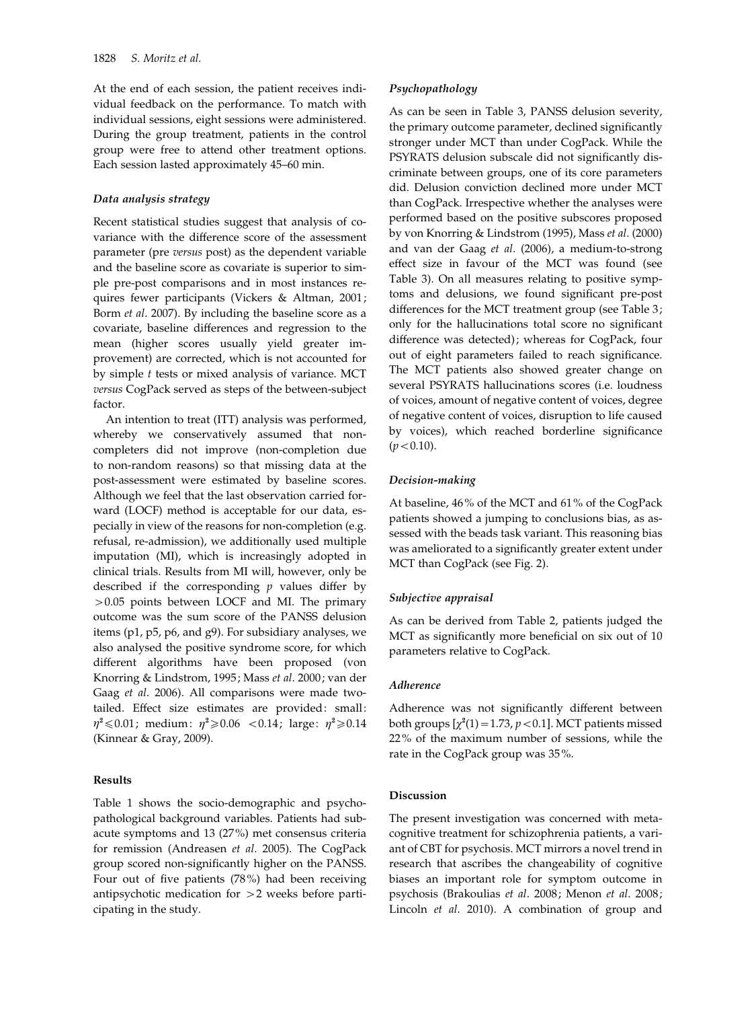At the end of each session, the patient receives individual feedback on the performance. To match with individual sessions, eight sessions were administered. During the group treatment, patients in the control group were free to attend other treatment options. Each session lasted approximately 45–60 min.

# Data analysis strategy

Recent statistical studies suggest that analysis of covariance with the difference score of the assessment parameter (pre versus post) as the dependent variable and the baseline score as covariate is superior to simple pre-post comparisons and in most instances requires fewer participants (Vickers & Altman, 2001; Borm et al. 2007). By including the baseline score as a covariate, baseline differences and regression to the mean (higher scores usually yield greater improvement) are corrected, which is not accounted for by simple t tests or mixed analysis of variance. MCT versus CogPack served as steps of the between-subject factor.

An intention to treat (ITT) analysis was performed, whereby we conservatively assumed that noncompleters did not improve (non-completion due to non-random reasons) so that missing data at the post-assessment were estimated by baseline scores. Although we feel that the last observation carried forward (LOCF) method is acceptable for our data, especially in view of the reasons for non-completion (e.g. refusal, re-admission), we additionally used multiple imputation (MI), which is increasingly adopted in clinical trials. Results from MI will, however, only be described if the corresponding  $p$  values differ by >0.05 points between LOCF and MI. The primary outcome was the sum score of the PANSS delusion items (p1, p5, p6, and g9). For subsidiary analyses, we also analysed the positive syndrome score, for which different algorithms have been proposed (von Knorring & Lindstrom, 1995; Mass et al. 2000; van der Gaag et al. 2006). All comparisons were made twotailed. Effect size estimates are provided: small:  $\eta^2$  $\leqslant$ 0.01; medium:  $\eta^2$  $\geqslant$ 0.06  $<$ 0.14; large:  $\eta^2$  $\geqslant$ 0.14 (Kinnear & Gray, 2009).

# Results

Table 1 shows the socio-demographic and psychopathological background variables. Patients had subacute symptoms and 13 (27%) met consensus criteria for remission (Andreasen et al. 2005). The CogPack group scored non-significantly higher on the PANSS. Four out of five patients (78%) had been receiving antipsychotic medication for >2 weeks before participating in the study.

# Psychopathology

As can be seen in Table 3, PANSS delusion severity, the primary outcome parameter, declined significantly stronger under MCT than under CogPack. While the PSYRATS delusion subscale did not significantly discriminate between groups, one of its core parameters did. Delusion conviction declined more under MCT than CogPack. Irrespective whether the analyses were performed based on the positive subscores proposed by von Knorring & Lindstrom (1995), Mass et al. (2000) and van der Gaag et al. (2006), a medium-to-strong effect size in favour of the MCT was found (see Table 3). On all measures relating to positive symptoms and delusions, we found significant pre-post differences for the MCT treatment group (see Table 3; only for the hallucinations total score no significant difference was detected); whereas for CogPack, four out of eight parameters failed to reach significance. The MCT patients also showed greater change on several PSYRATS hallucinations scores (i.e. loudness of voices, amount of negative content of voices, degree of negative content of voices, disruption to life caused by voices), which reached borderline significance  $(p < 0.10)$ .

# Decision-making

At baseline, 46% of the MCT and 61% of the CogPack patients showed a jumping to conclusions bias, as assessed with the beads task variant. This reasoning bias was ameliorated to a significantly greater extent under MCT than CogPack (see Fig. 2).

#### Subjective appraisal

As can be derived from Table 2, patients judged the MCT as significantly more beneficial on six out of 10 parameters relative to CogPack.

#### Adherence

Adherence was not significantly different between both groups  $[\chi^2(1) = 1.73, p < 0.1]$ . MCT patients missed 22% of the maximum number of sessions, while the rate in the CogPack group was 35%.

#### Discussion

The present investigation was concerned with metacognitive treatment for schizophrenia patients, a variant of CBT for psychosis. MCT mirrors a novel trend in research that ascribes the changeability of cognitive biases an important role for symptom outcome in psychosis (Brakoulias et al. 2008; Menon et al. 2008; Lincoln et al. 2010). A combination of group and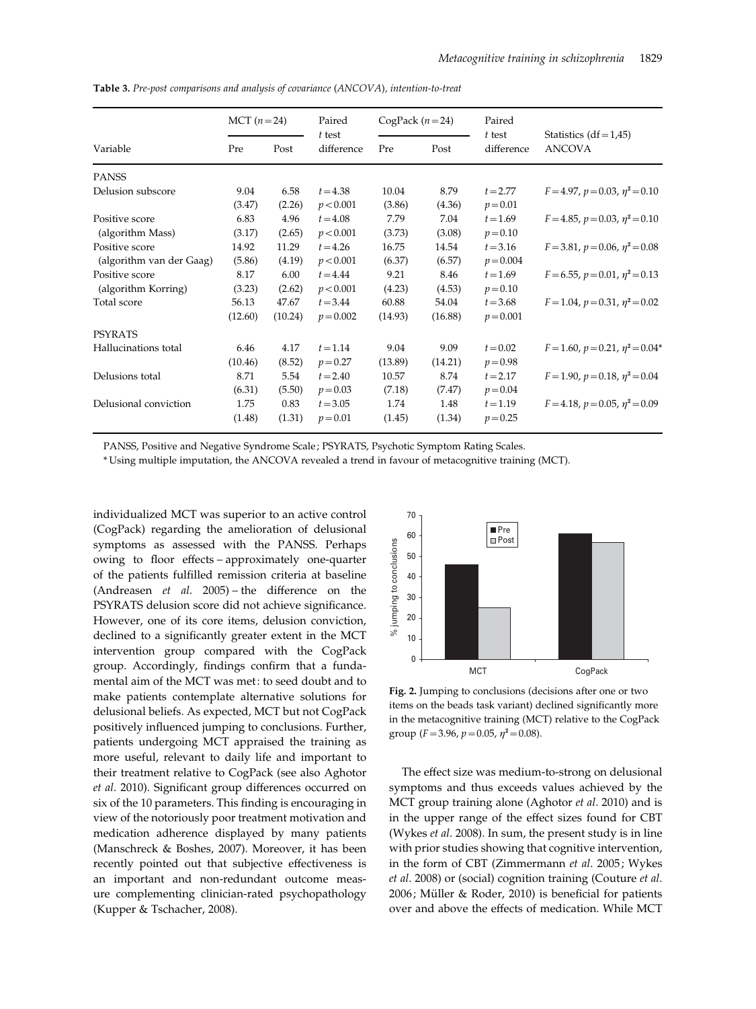| Variable                 | $MCT (n=24)$ |         | Paired               | CogPack $(n=24)$ |         | Paired               |                                             |
|--------------------------|--------------|---------|----------------------|------------------|---------|----------------------|---------------------------------------------|
|                          | Pre          | Post    | t test<br>difference | Pre              | Post    | t test<br>difference | Statistics $(df=1,45)$<br><b>ANCOVA</b>     |
| <b>PANSS</b>             |              |         |                      |                  |         |                      |                                             |
| Delusion subscore        | 9.04         | 6.58    | $t = 4.38$           | 10.04            | 8.79    | $t = 2.77$           | $F = 4.97$ , $p = 0.03$ , $\eta^2 = 0.10$   |
|                          | (3.47)       | (2.26)  | p < 0.001            | (3.86)           | (4.36)  | $p = 0.01$           |                                             |
| Positive score           | 6.83         | 4.96    | $t = 4.08$           | 7.79             | 7.04    | $t = 1.69$           | $F = 4.85$ , $p = 0.03$ , $\eta^2 = 0.10$   |
| (algorithm Mass)         | (3.17)       | (2.65)  | p < 0.001            | (3.73)           | (3.08)  | $p = 0.10$           |                                             |
| Positive score           | 14.92        | 11.29   | $t = 4.26$           | 16.75            | 14.54   | $t = 3.16$           | $F = 3.81, p = 0.06, \eta^2 = 0.08$         |
| (algorithm van der Gaag) | (5.86)       | (4.19)  | p < 0.001            | (6.37)           | (6.57)  | $p = 0.004$          |                                             |
| Positive score           | 8.17         | 6.00    | $t = 4.44$           | 9.21             | 8.46    | $t = 1.69$           | $F = 6.55$ , $p = 0.01$ , $\eta^2 = 0.13$   |
| (algorithm Korring)      | (3.23)       | (2.62)  | p < 0.001            | (4.23)           | (4.53)  | $p = 0.10$           |                                             |
| Total score              | 56.13        | 47.67   | $t = 3.44$           | 60.88            | 54.04   | $t = 3.68$           | $F = 1.04$ , $p = 0.31$ , $\eta^2 = 0.02$   |
|                          | (12.60)      | (10.24) | $p = 0.002$          | (14.93)          | (16.88) | $p = 0.001$          |                                             |
| <b>PSYRATS</b>           |              |         |                      |                  |         |                      |                                             |
| Hallucinations total     | 6.46         | 4.17    | $t = 1.14$           | 9.04             | 9.09    | $t = 0.02$           | $F = 1.60$ , $p = 0.21$ , $\eta^2 = 0.04^*$ |
|                          | (10.46)      | (8.52)  | $p = 0.27$           | (13.89)          | (14.21) | $p = 0.98$           |                                             |
| Delusions total          | 8.71         | 5.54    | $t = 2.40$           | 10.57            | 8.74    | $t = 2.17$           | $F = 1.90, p = 0.18, \eta^2 = 0.04$         |
|                          | (6.31)       | (5.50)  | $p = 0.03$           | (7.18)           | (7.47)  | $p = 0.04$           |                                             |
| Delusional conviction    | 1.75         | 0.83    | $t = 3.05$           | 1.74             | 1.48    | $t = 1.19$           | $F = 4.18$ , $p = 0.05$ , $\eta^2 = 0.09$   |
|                          | (1.48)       | (1.31)  | $p = 0.01$           | (1.45)           | (1.34)  | $p = 0.25$           |                                             |

Table 3. Pre-post comparisons and analysis of covariance (ANCOVA), intention-to-treat

PANSS, Positive and Negative Syndrome Scale; PSYRATS, Psychotic Symptom Rating Scales.

\* Using multiple imputation, the ANCOVA revealed a trend in favour of metacognitive training (MCT).

individualized MCT was superior to an active control (CogPack) regarding the amelioration of delusional symptoms as assessed with the PANSS. Perhaps owing to floor effects – approximately one-quarter of the patients fulfilled remission criteria at baseline (Andreasen et al. 2005) – the difference on the PSYRATS delusion score did not achieve significance. However, one of its core items, delusion conviction, declined to a significantly greater extent in the MCT intervention group compared with the CogPack group. Accordingly, findings confirm that a fundamental aim of the MCT was met: to seed doubt and to make patients contemplate alternative solutions for delusional beliefs. As expected, MCT but not CogPack positively influenced jumping to conclusions. Further, patients undergoing MCT appraised the training as more useful, relevant to daily life and important to their treatment relative to CogPack (see also Aghotor et al. 2010). Significant group differences occurred on six of the 10 parameters. This finding is encouraging in view of the notoriously poor treatment motivation and medication adherence displayed by many patients (Manschreck & Boshes, 2007). Moreover, it has been recently pointed out that subjective effectiveness is an important and non-redundant outcome measure complementing clinician-rated psychopathology (Kupper & Tschacher, 2008).



Fig. 2. Jumping to conclusions (decisions after one or two items on the beads task variant) declined significantly more in the metacognitive training (MCT) relative to the CogPack group ( $F = 3.96$ ,  $p = 0.05$ ,  $\eta^2 = 0.08$ ).

The effect size was medium-to-strong on delusional symptoms and thus exceeds values achieved by the MCT group training alone (Aghotor et al. 2010) and is in the upper range of the effect sizes found for CBT (Wykes et al. 2008). In sum, the present study is in line with prior studies showing that cognitive intervention, in the form of CBT (Zimmermann et al. 2005; Wykes et al. 2008) or (social) cognition training (Couture et al.  $2006$ ; Müller & Roder, 2010) is beneficial for patients over and above the effects of medication. While MCT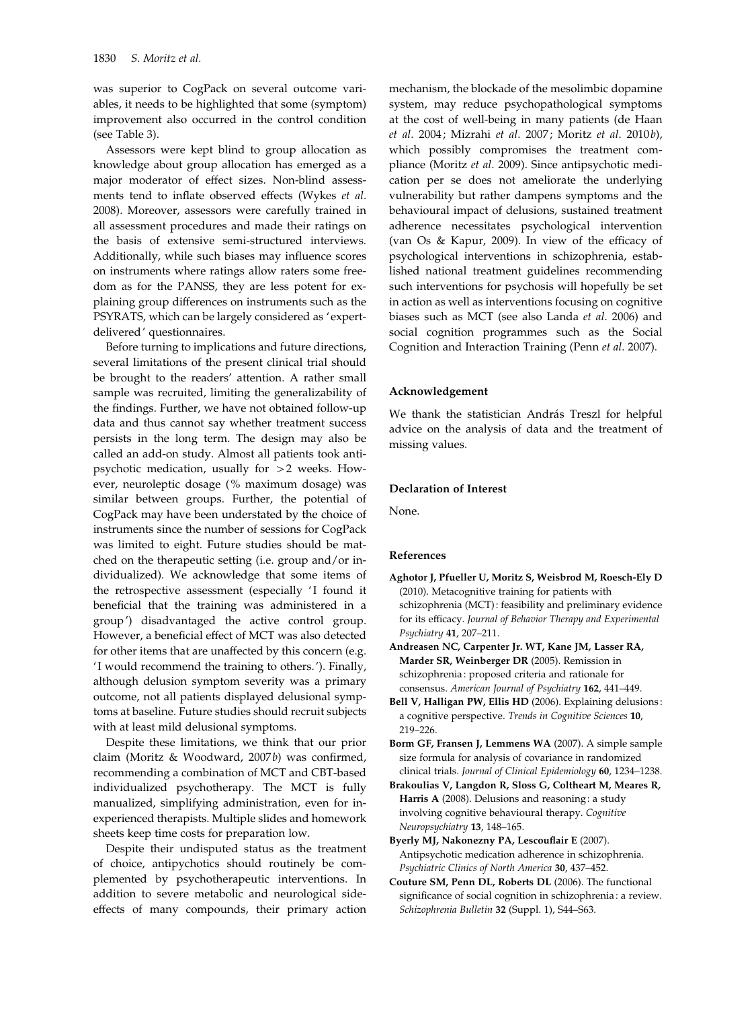was superior to CogPack on several outcome variables, it needs to be highlighted that some (symptom) improvement also occurred in the control condition (see Table 3).

Assessors were kept blind to group allocation as knowledge about group allocation has emerged as a major moderator of effect sizes. Non-blind assessments tend to inflate observed effects (Wykes et al. 2008). Moreover, assessors were carefully trained in all assessment procedures and made their ratings on the basis of extensive semi-structured interviews. Additionally, while such biases may influence scores on instruments where ratings allow raters some freedom as for the PANSS, they are less potent for explaining group differences on instruments such as the PSYRATS, which can be largely considered as 'expertdelivered' questionnaires.

Before turning to implications and future directions, several limitations of the present clinical trial should be brought to the readers' attention. A rather small sample was recruited, limiting the generalizability of the findings. Further, we have not obtained follow-up data and thus cannot say whether treatment success persists in the long term. The design may also be called an add-on study. Almost all patients took antipsychotic medication, usually for >2 weeks. However, neuroleptic dosage (% maximum dosage) was similar between groups. Further, the potential of CogPack may have been understated by the choice of instruments since the number of sessions for CogPack was limited to eight. Future studies should be matched on the therapeutic setting (i.e. group and/or individualized). We acknowledge that some items of the retrospective assessment (especially 'I found it beneficial that the training was administered in a group') disadvantaged the active control group. However, a beneficial effect of MCT was also detected for other items that are unaffected by this concern (e.g. ' I would recommend the training to others.'). Finally, although delusion symptom severity was a primary outcome, not all patients displayed delusional symptoms at baseline. Future studies should recruit subjects with at least mild delusional symptoms.

Despite these limitations, we think that our prior claim (Moritz & Woodward, 2007b) was confirmed, recommending a combination of MCT and CBT-based individualized psychotherapy. The MCT is fully manualized, simplifying administration, even for inexperienced therapists. Multiple slides and homework sheets keep time costs for preparation low.

Despite their undisputed status as the treatment of choice, antipychotics should routinely be complemented by psychotherapeutic interventions. In addition to severe metabolic and neurological sideeffects of many compounds, their primary action

mechanism, the blockade of the mesolimbic dopamine system, may reduce psychopathological symptoms at the cost of well-being in many patients (de Haan et al. 2004; Mizrahi et al. 2007; Moritz et al. 2010b), which possibly compromises the treatment compliance (Moritz et al. 2009). Since antipsychotic medication per se does not ameliorate the underlying vulnerability but rather dampens symptoms and the behavioural impact of delusions, sustained treatment adherence necessitates psychological intervention (van Os & Kapur, 2009). In view of the efficacy of psychological interventions in schizophrenia, established national treatment guidelines recommending such interventions for psychosis will hopefully be set in action as well as interventions focusing on cognitive biases such as MCT (see also Landa et al. 2006) and social cognition programmes such as the Social Cognition and Interaction Training (Penn et al. 2007).

## Acknowledgement

We thank the statistician András Treszl for helpful advice on the analysis of data and the treatment of missing values.

# Declaration of Interest

None.

#### References

- Aghotor J, Pfueller U, Moritz S, Weisbrod M, Roesch-Ely D (2010). Metacognitive training for patients with schizophrenia (MCT): feasibility and preliminary evidence for its efficacy. Journal of Behavior Therapy and Experimental Psychiatry 41, 207–211.
- Andreasen NC, Carpenter Jr. WT, Kane JM, Lasser RA, Marder SR, Weinberger DR (2005). Remission in schizophrenia : proposed criteria and rationale for consensus. American Journal of Psychiatry 162, 441–449.
- Bell V, Halligan PW, Ellis HD (2006). Explaining delusions : a cognitive perspective. Trends in Cognitive Sciences 10, 219–226.
- Borm GF, Fransen J, Lemmens WA (2007). A simple sample size formula for analysis of covariance in randomized clinical trials. Journal of Clinical Epidemiology 60, 1234–1238.
- Brakoulias V, Langdon R, Sloss G, Coltheart M, Meares R, Harris A (2008). Delusions and reasoning: a study involving cognitive behavioural therapy. Cognitive Neuropsychiatry 13, 148–165.
- Byerly MJ, Nakonezny PA, Lescouflair E (2007). Antipsychotic medication adherence in schizophrenia. Psychiatric Clinics of North America 30, 437–452.
- Couture SM, Penn DL, Roberts DL (2006). The functional significance of social cognition in schizophrenia : a review. Schizophrenia Bulletin 32 (Suppl. 1), S44–S63.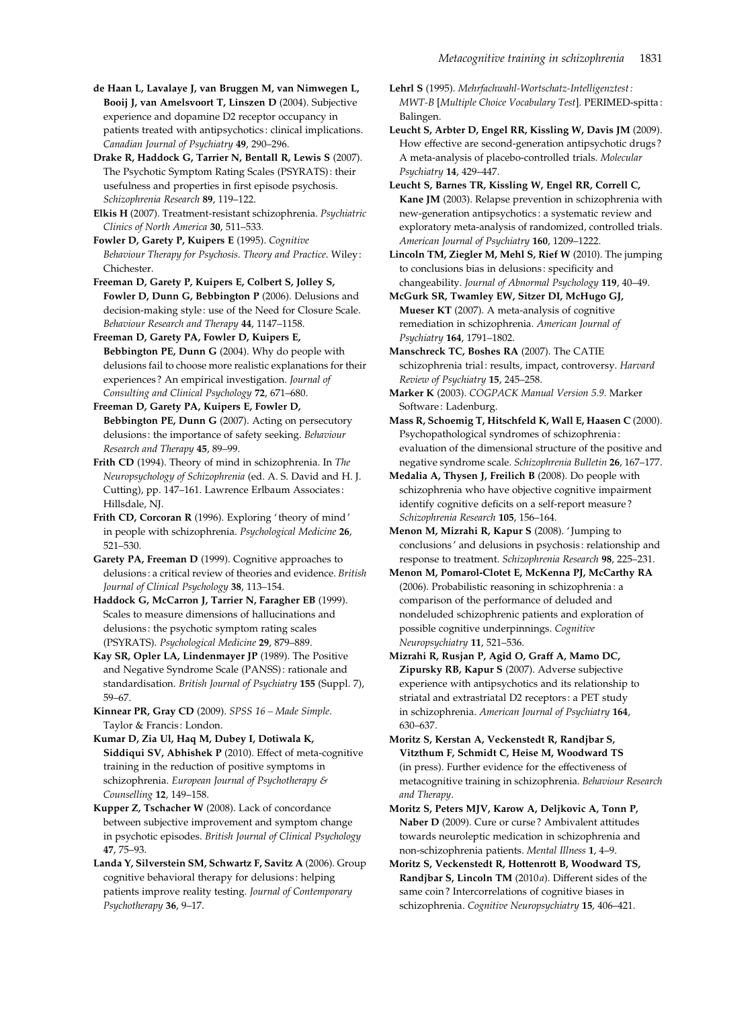de Haan L, Lavalaye J, van Bruggen M, van Nimwegen L, Booij J, van Amelsvoort T, Linszen D (2004). Subjective experience and dopamine D2 receptor occupancy in patients treated with antipsychotics : clinical implications. Canadian Journal of Psychiatry 49, 290–296.

Drake R, Haddock G, Tarrier N, Bentall R, Lewis S (2007). The Psychotic Symptom Rating Scales (PSYRATS) : their usefulness and properties in first episode psychosis. Schizophrenia Research 89, 119–122.

Elkis H (2007). Treatment-resistant schizophrenia. Psychiatric Clinics of North America 30, 511–533.

Fowler D, Garety P, Kuipers E (1995). Cognitive Behaviour Therapy for Psychosis. Theory and Practice. Wiley : Chichester.

Freeman D, Garety P, Kuipers E, Colbert S, Jolley S, Fowler D, Dunn G, Bebbington P (2006). Delusions and decision-making style : use of the Need for Closure Scale. Behaviour Research and Therapy 44, 1147–1158.

Freeman D, Garety PA, Fowler D, Kuipers E, Bebbington PE, Dunn G (2004). Why do people with delusions fail to choose more realistic explanations for their experiences ? An empirical investigation. Journal of Consulting and Clinical Psychology 72, 671–680.

Freeman D, Garety PA, Kuipers E, Fowler D, Bebbington PE, Dunn G (2007). Acting on persecutory delusions: the importance of safety seeking. Behaviour Research and Therapy 45, 89–99.

Frith CD (1994). Theory of mind in schizophrenia. In The Neuropsychology of Schizophrenia (ed. A. S. David and H. J. Cutting), pp. 147–161. Lawrence Erlbaum Associates : Hillsdale, NJ.

Frith CD, Corcoran R (1996). Exploring 'theory of mind' in people with schizophrenia. Psychological Medicine 26, 521–530.

Garety PA, Freeman D (1999). Cognitive approaches to delusions: a critical review of theories and evidence. British Journal of Clinical Psychology 38, 113–154.

Haddock G, McCarron J, Tarrier N, Faragher EB (1999). Scales to measure dimensions of hallucinations and delusions: the psychotic symptom rating scales (PSYRATS). Psychological Medicine 29, 879–889.

Kay SR, Opler LA, Lindenmayer JP (1989). The Positive and Negative Syndrome Scale (PANSS): rationale and standardisation. British Journal of Psychiatry 155 (Suppl. 7), 59–67.

Kinnear PR, Gray CD (2009). SPSS 16 – Made Simple. Taylor & Francis : London.

Kumar D, Zia Ul, Haq M, Dubey I, Dotiwala K, Siddiqui SV, Abhishek P (2010). Effect of meta-cognitive training in the reduction of positive symptoms in schizophrenia. European Journal of Psychotherapy & Counselling 12, 149–158.

Kupper Z, Tschacher W (2008). Lack of concordance between subjective improvement and symptom change in psychotic episodes. British Journal of Clinical Psychology 47, 75–93.

Landa Y, Silverstein SM, Schwartz F, Savitz A (2006). Group cognitive behavioral therapy for delusions : helping patients improve reality testing. Journal of Contemporary Psychotherapy 36, 9–17.

Lehrl S (1995). Mehrfachwahl-Wortschatz-Intelligenztest : MWT-B [Multiple Choice Vocabulary Test]. PERIMED-spitta : Balingen.

Leucht S, Arbter D, Engel RR, Kissling W, Davis JM (2009). How effective are second-generation antipsychotic drugs ? A meta-analysis of placebo-controlled trials. Molecular Psychiatry 14, 429–447.

Leucht S, Barnes TR, Kissling W, Engel RR, Correll C, Kane JM (2003). Relapse prevention in schizophrenia with new-generation antipsychotics : a systematic review and exploratory meta-analysis of randomized, controlled trials. American Journal of Psychiatry 160, 1209–1222.

Lincoln TM, Ziegler M, Mehl S, Rief W (2010). The jumping to conclusions bias in delusions : specificity and changeability. Journal of Abnormal Psychology 119, 40–49.

McGurk SR, Twamley EW, Sitzer DI, McHugo GJ, Mueser KT (2007). A meta-analysis of cognitive remediation in schizophrenia. American Journal of Psychiatry 164, 1791–1802.

Manschreck TC, Boshes RA (2007). The CATIE schizophrenia trial: results, impact, controversy. Harvard Review of Psychiatry 15, 245–258.

Marker K (2003). COGPACK Manual Version 5.9. Marker Software: Ladenburg.

Mass R, Schoemig T, Hitschfeld K, Wall E, Haasen C (2000). Psychopathological syndromes of schizophrenia : evaluation of the dimensional structure of the positive and negative syndrome scale. Schizophrenia Bulletin 26, 167–177.

Medalia A, Thysen J, Freilich B (2008). Do people with schizophrenia who have objective cognitive impairment identify cognitive deficits on a self-report measure ? Schizophrenia Research 105, 156–164.

Menon M, Mizrahi R, Kapur S (2008). ' Jumping to conclusions' and delusions in psychosis : relationship and response to treatment. Schizophrenia Research 98, 225–231.

Menon M, Pomarol-Clotet E, McKenna PJ, McCarthy RA (2006). Probabilistic reasoning in schizophrenia : a comparison of the performance of deluded and nondeluded schizophrenic patients and exploration of possible cognitive underpinnings. Cognitive Neuropsychiatry 11, 521–536.

Mizrahi R, Rusjan P, Agid O, Graff A, Mamo DC, Zipursky RB, Kapur S (2007). Adverse subjective experience with antipsychotics and its relationship to striatal and extrastriatal D2 receptors : a PET study in schizophrenia. American Journal of Psychiatry 164, 630–637.

Moritz S, Kerstan A, Veckenstedt R, Randjbar S, Vitzthum F, Schmidt C, Heise M, Woodward TS (in press). Further evidence for the effectiveness of metacognitive training in schizophrenia. Behaviour Research and Therapy.

Moritz S, Peters MJV, Karow A, Deljkovic A, Tonn P, Naber D (2009). Cure or curse ? Ambivalent attitudes towards neuroleptic medication in schizophrenia and non-schizophrenia patients. Mental Illness 1, 4–9.

Moritz S, Veckenstedt R, Hottenrott B, Woodward TS, Randjbar S, Lincoln TM (2010a). Different sides of the same coin ? Intercorrelations of cognitive biases in schizophrenia. Cognitive Neuropsychiatry 15, 406–421.